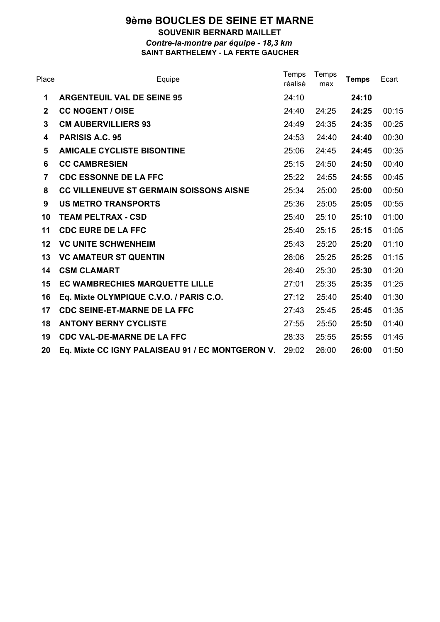## **9ème BOUCLES DE SEINE ET MARNE SOUVENIR BERNARD MAILLET** *Contre-la-montre par équipe - 18,3 km* **SAINT BARTHELEMY - LA FERTE GAUCHER**

| Place        | Equipe                                           | Temps<br>réalisé | Temps<br>max | <b>Temps</b> | Ecart |
|--------------|--------------------------------------------------|------------------|--------------|--------------|-------|
| 1            | <b>ARGENTEUIL VAL DE SEINE 95</b>                | 24:10            |              | 24:10        |       |
| $\mathbf{2}$ | <b>CC NOGENT / OISE</b>                          | 24:40            | 24:25        | 24:25        | 00:15 |
| 3            | <b>CM AUBERVILLIERS 93</b>                       | 24:49            | 24:35        | 24:35        | 00:25 |
| 4            | <b>PARISIS A.C. 95</b>                           | 24:53            | 24:40        | 24:40        | 00:30 |
| 5            | <b>AMICALE CYCLISTE BISONTINE</b>                | 25:06            | 24:45        | 24:45        | 00:35 |
| 6            | <b>CC CAMBRESIEN</b>                             | 25:15            | 24:50        | 24:50        | 00:40 |
| 7            | <b>CDC ESSONNE DE LA FFC</b>                     | 25:22            | 24:55        | 24:55        | 00:45 |
| 8            | <b>CC VILLENEUVE ST GERMAIN SOISSONS AISNE</b>   | 25:34            | 25:00        | 25:00        | 00:50 |
| 9            | <b>US METRO TRANSPORTS</b>                       | 25:36            | 25:05        | 25:05        | 00:55 |
| 10           | <b>TEAM PELTRAX - CSD</b>                        | 25:40            | 25:10        | 25:10        | 01:00 |
| 11           | <b>CDC EURE DE LA FFC</b>                        | 25:40            | 25:15        | 25:15        | 01:05 |
| 12           | <b>VC UNITE SCHWENHEIM</b>                       | 25:43            | 25:20        | 25:20        | 01:10 |
| 13           | <b>VC AMATEUR ST QUENTIN</b>                     | 26:06            | 25:25        | 25:25        | 01:15 |
| 14           | <b>CSM CLAMART</b>                               | 26:40            | 25:30        | 25:30        | 01:20 |
| 15           | EC WAMBRECHIES MARQUETTE LILLE                   | 27:01            | 25:35        | 25:35        | 01:25 |
| 16           | Eq. Mixte OLYMPIQUE C.V.O. / PARIS C.O.          | 27:12            | 25:40        | 25:40        | 01:30 |
| 17           | <b>CDC SEINE-ET-MARNE DE LA FFC</b>              | 27:43            | 25:45        | 25:45        | 01:35 |
| 18           | <b>ANTONY BERNY CYCLISTE</b>                     | 27:55            | 25:50        | 25:50        | 01:40 |
| 19           | <b>CDC VAL-DE-MARNE DE LA FFC</b>                | 28:33            | 25:55        | 25:55        | 01:45 |
| 20           | Eq. Mixte CC IGNY PALAISEAU 91 / EC MONTGERON V. | 29:02            | 26:00        | 26:00        | 01:50 |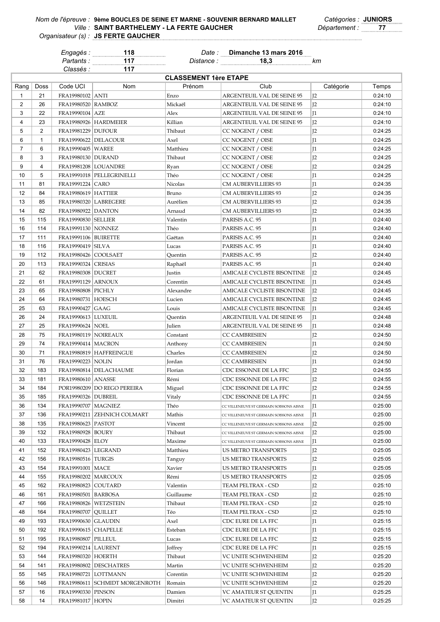*Classés :* **117**

*Engagés :* **118** *Date :* **Dimanche 13 mars 2016**

*Partants :* **117** *Distance :* **18,3** *km*

| <b>CLASSEMENT 1ère ETAPE</b> |                |                               |                                  |           |                                         |                |         |  |
|------------------------------|----------------|-------------------------------|----------------------------------|-----------|-----------------------------------------|----------------|---------|--|
| Rang                         | Doss           | Code UCI                      | Nom                              | Prénom    | Club                                    | Catégorie      | Temps   |  |
| $\mathbf{1}$                 | 21             | FRA19980102 ANTI              |                                  | Enzo      | ARGENTEUIL VAL DE SEINE 95              | 12             | 0:24:10 |  |
| 2                            | 26             | FRA19980520   RAMBOZ          |                                  | Mickaël   | ARGENTEUIL VAL DE SEINE 95              | I <sub>2</sub> | 0:24:10 |  |
| 3                            | 22             | FRA19990104   AZE             |                                  | Alex      | ARGENTEUIL VAL DE SEINE 95              | $\mathbb{I}^1$ | 0:24:10 |  |
| 4                            | 23             |                               | FRA19980926 HARDMEIER            | Killian   | <b>ARGENTEUIL VAL DE SEINE 95</b>       | J <sub>2</sub> | 0:24:10 |  |
| 5                            | 2              | <b>FRA19981229   DUFOUR</b>   |                                  | Thibaut   | CC NOGENT / OISE                        | J <sub>2</sub> | 0:24:25 |  |
| 6                            | $\mathbf{1}$   | FRA19990622 DELACOUR          |                                  | Axel      | CC NOGENT / OISE                        | $\mathbb{I}$   | 0:24:25 |  |
| $\overline{7}$               | 6              | FRA19990405   WAREE           |                                  | Matthieu  | CC NOGENT / OISE                        | $\mathbb{I}$   | 0:24:25 |  |
| 8                            | 3              | FRA19980130   DURAND          |                                  | Thibaut   | CC NOGENT / OISE                        | I <sub>2</sub> | 0:24:25 |  |
| 9                            | $\overline{4}$ | FRA19981208   LOUANDRE        |                                  | Ryan      | CC NOGENT / OISE                        | I <sub>2</sub> | 0:24:25 |  |
| 10                           | 5              |                               | FRA19991018   PELLEGRINELLI      | Théo      | CC NOGENT / OISE                        | $\mathbb{I}$   | 0:24:25 |  |
| 11                           | 81             | FRA19991224   CARO            |                                  | Nicolas   | CM AUBERVILLIERS 93                     | $\mathbb{I}$   | 0:24:35 |  |
| 12                           | 84             | <b>FRA19980619   HATTIER</b>  |                                  | Bruno     | CM AUBERVILLIERS 93                     | I <sub>2</sub> | 0:24:35 |  |
| 13                           | 85             |                               |                                  |           |                                         | I <sub>2</sub> | 0:24:35 |  |
|                              |                | FRA19980320 LABREGERE         |                                  | Aurélien  | CM AUBERVILLIERS 93                     |                |         |  |
| 14                           | 82             | <b>FRA19980922 DANTON</b>     |                                  | Arnaud    | CM AUBERVILLIERS 93                     | I <sub>2</sub> | 0:24:35 |  |
| 15                           | 115            | <b>FRA19990830 SELLIER</b>    |                                  | Valentin  | PARISIS A.C. 95                         | $\mathbb{I}$   | 0:24:40 |  |
| 16                           | 114            | FRA19991130   NONNEZ          |                                  | Théo      | PARISIS A.C. 95                         | $\mathbb{I}$   | 0:24:40 |  |
| 17                           | 111            | <b>FRA19991106 BUIRETTE</b>   |                                  | Gaëtan    | PARISIS A.C. 95                         | $\mathbb{I}$   | 0:24:40 |  |
| 18                           | 116            | FRA19990419   SILVA           |                                  | Lucas     | PARISIS A.C. 95                         | $\mathbb{I}$   | 0:24:40 |  |
| 19                           | 112            | <b>FRA19980426 COOLSAET</b>   |                                  | Quentin   | PARISIS A.C. 95                         | I <sub>2</sub> | 0:24:40 |  |
| 20                           | 113            | FRA19990324   CRISIAS         |                                  | Raphaël   | PARISIS A.C. 95                         | $\mathbb{I}$   | 0:24:40 |  |
| 21                           | 62             | FRA19980308   DUCRET          |                                  | Justin    | AMICALE CYCLISTE BISONTINE              | 12             | 0:24:45 |  |
| 22                           | 61             | FRA19991129 ARNOUX            |                                  | Corentin  | AMICALE CYCLISTE BISONTINE              | $\mathbb{I}^1$ | 0:24:45 |  |
| 23                           | 65             | FRA19980808   PICHLY          |                                  | Alexandre | AMICALE CYCLISTE BISONTINE              | I <sub>2</sub> | 0:24:45 |  |
| 24                           | 64             | FRA19980731   HOESCH          |                                  | Lucien    | AMICALE CYCLISTE BISONTINE              | I <sub>2</sub> | 0:24:45 |  |
| 25                           | 63             | FRA19990427 GAAG              |                                  | Louis     | AMICALE CYCLISTE BISONTINE              | $\mathbb{I}^1$ | 0:24:45 |  |
| 26                           | 24             | FRA19990613   LUXEUIL         |                                  | Quentin   | ARGENTEUIL VAL DE SEINE 95              | $\mathbb{I}$   | 0:24:48 |  |
| 27                           | 25             | FRA19990624   NOEL            |                                  | Julien    | ARGENTEUIL VAL DE SEINE 95              | $\mathbb{I}$   | 0:24:48 |  |
| 28                           | 75             | FRA19980119   NOIREAUX        |                                  | Constant  | <b>CC CAMBRESIEN</b>                    | J <sub>2</sub> | 0:24:50 |  |
| 29                           | 74             | <b>FRA19990414   MACRON</b>   |                                  | Anthony   | <b>CC CAMBRESIEN</b>                    | $\mathbb{I}$   | 0:24:50 |  |
| 30                           | 71             |                               | FRA19980819   HAFFREINGUE        | Charles   | <b>CC CAMBRESIEN</b>                    | I <sub>2</sub> | 0:24:50 |  |
| 31                           | 76             | FRA19990223   NOLIN           |                                  | Jordan    | <b>CC CAMBRESIEN</b>                    | $\mathbb{I}$   | 0:24:50 |  |
| 32                           | 183            |                               | FRA19980814   DELACHAUME         | Florian   | CDC ESSONNE DE LA FFC                   | I <sub>2</sub> | 0:24:55 |  |
| 33                           | 181            | FRA19980610   ANASSE          |                                  | Rémi      | CDC ESSONNE DE LA FFC                   | I <sub>2</sub> | 0:24:55 |  |
| 34                           | 184            |                               | POR19980209   DO REGO PEREIRA    | Miguel    | CDC ESSONNE DE LA FFC                   | I <sub>2</sub> | 0:24:55 |  |
| 35                           | 185            | <b>FRA19990326   DUBREIL</b>  |                                  | Vitaly    | CDC ESSONNE DE LA FFC                   | $\mathbb{I}$   | 0:24:55 |  |
| 36                           | 134            | FRA19990707   MAGNIEZ         |                                  | Théo      | CC VILLENEUVE ST GERMAIN SOISSONS AISNE | J1             | 0:25:00 |  |
| 37                           | 136            |                               | FRA19990211   ZEHNICH COLMART    | Mathis    | CC VILLENEUVE ST GERMAIN SOISSONS AISNE | J1             | 0:25:00 |  |
| 38                           | 135            | <b>FRA19980623 PASTOT</b>     |                                  | Vincent   | CC VILLENEUVE ST GERMAIN SOISSONS AISNE | J <sub>2</sub> | 0:25:00 |  |
| 39                           | 132            | FRA19980928   BOURY           |                                  | Thibaut   | CC VILLENEUVE ST GERMAIN SOISSONS AISNE | J <sub>2</sub> | 0:25:00 |  |
| 40                           | 133            | FRA19990428 ELOY              |                                  | Maxime    | CC VILLENEUVE ST GERMAIN SOISSONS AISNE | J1             | 0:25:00 |  |
| 41                           | 152            | FRA19980423   LEGRAND         |                                  | Matthieu  | US METRO TRANSPORTS                     | J <sub>2</sub> | 0:25:05 |  |
| 42                           | 156            | FRA19980516   TURGIS          |                                  | Tanguy    | US METRO TRANSPORTS                     | J <sub>2</sub> | 0:25:05 |  |
| 43                           | 154            | FRA19991001   MACE            |                                  | Xavier    | US METRO TRANSPORTS                     | J1             | 0:25:05 |  |
| 44                           | 155            | FRA19980202   MARCOUX         |                                  | Rémi      | US METRO TRANSPORTS                     |                | 0:25:05 |  |
|                              | 162            |                               |                                  |           |                                         | J <sub>2</sub> |         |  |
| 45                           |                | FRA19980823   COUTARD         |                                  | Valentin  | TEAM PELTRAX - CSD                      | J <sub>2</sub> | 0:25:10 |  |
| 46                           | 161            | FRA19980501   BARBOSA         |                                  | Guillaume | TEAM PELTRAX - CSD                      | J <sub>2</sub> | 0:25:10 |  |
| 47                           | 166            | FRA19980826   WETZSTEIN       |                                  | Thibaut   | TEAM PELTRAX - CSD                      | J <sub>2</sub> | 0:25:10 |  |
| 48                           | 164            | <b>FRA19980707   QUILLET</b>  |                                  | Téo       | TEAM PELTRAX - CSD                      | J <sub>2</sub> | 0:25:10 |  |
| 49                           | 193            | FRA19990630 GLAUDIN           |                                  | Axel      | CDC EURE DE LA FFC                      | J1             | 0:25:15 |  |
| 50                           | 192            | <b>FRA19990615   CHAPELLE</b> |                                  | Esteban   | CDC EURE DE LA FFC                      | J1             | 0:25:15 |  |
| 51                           | 195            | FRA19980807   PILLEUL         |                                  | Lucas     | CDC EURE DE LA FFC                      | J <sub>2</sub> | 0:25:15 |  |
| 52                           | 194            | <b>FRA19990214 LAURENT</b>    |                                  | Joffrey   | CDC EURE DE LA FFC                      | J1             | 0:25:15 |  |
| 53                           | 144            | FRA19980320   HOERTH          |                                  | Thibaut   | VC UNITE SCHWENHEIM                     | J <sub>2</sub> | 0:25:20 |  |
| 54                           | 141            |                               | FRA19980802 DESCHATRES           | Martin    | VC UNITE SCHWENHEIM                     | J <sub>2</sub> | 0:25:20 |  |
| 55                           | 145            |                               | FRA19980721   LOTTMANN           | Corentin  | VC UNITE SCHWENHEIM                     | J <sub>2</sub> | 0:25:20 |  |
| 56                           | 146            |                               | FRA19980611   SCHMIDT MORGENROTH | Romain    | VC UNITE SCHWENHEIM                     | J <sub>2</sub> | 0:25:20 |  |
| 57                           | 16             | FRA19990330   PINSON          |                                  | Damien    | VC AMATEUR ST QUENTIN                   | J1             | 0:25:25 |  |
| 58                           | 14             | FRA19981017   HOPIN           |                                  | Dimitri   | VC AMATEUR ST QUENTIN                   | J <sub>2</sub> | 0:25:25 |  |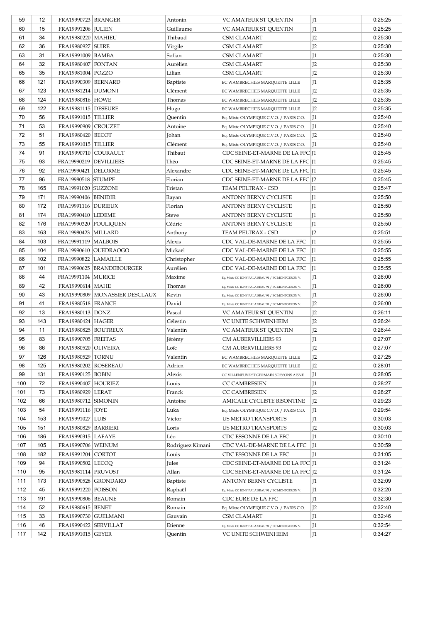| 59  | 12  | <b>FRA19990723 BRANGER</b>    |                                  | Antonin          | VC AMATEUR ST QUENTIN                            | I <sub>1</sub>  | 0:25:25 |
|-----|-----|-------------------------------|----------------------------------|------------------|--------------------------------------------------|-----------------|---------|
| 60  | 15  | FRA19991206   JULIEN          |                                  | Guillaume        | VC AMATEUR ST QUENTIN                            | $\mathsf{I}1$   | 0:25:25 |
| 61  | 34  | FRA19980220   MAHIEU          |                                  | Thibaud          | <b>CSM CLAMART</b>                               | J <sub>2</sub>  | 0:25:30 |
| 62  | 36  | FRA19980927   SUIRE           |                                  | Virgile          | <b>CSM CLAMART</b>                               | I <sub>2</sub>  | 0:25:30 |
| 63  | 31  | FRA19991009   BAMBA           |                                  | Sofian           | <b>CSM CLAMART</b>                               | $\mathsf{I}1$   | 0:25:30 |
| 64  | 32  | <b>FRA19980407 FONTAN</b>     |                                  | Aurélien         | <b>CSM CLAMART</b>                               | I <sub>2</sub>  | 0:25:30 |
| 65  | 35  | FRA19981004   POZZO           |                                  | Lilian           | <b>CSM CLAMART</b>                               | I <sub>2</sub>  | 0:25:30 |
| 66  | 121 | <b>FRA19990309 BERNARD</b>    |                                  | Baptiste         | EC WAMBRECHIES MARQUETTE LILLE                   | $\mathsf{I}1$   | 0:25:35 |
| 67  | 123 | FRA19981214   DUMONT          |                                  | Clément          | EC WAMBRECHIES MARQUETTE LILLE                   | I <sub>2</sub>  | 0:25:35 |
| 68  | 124 | <b>FRA19980816   HOWE</b>     |                                  | Thomas           | EC WAMBRECHIES MARQUETTE LILLE                   | I <sub>2</sub>  | 0:25:35 |
| 69  | 122 | FRA19981115   DESEURE         |                                  |                  |                                                  | I <sub>2</sub>  | 0:25:35 |
|     | 56  |                               |                                  | Hugo             | EC WAMBRECHIES MARQUETTE LILLE                   |                 |         |
| 70  |     | <b>FRA19991015 TILLIER</b>    |                                  | Quentin          | Eq. Mixte OLYMPIQUE C.V.O. / PARIS C.O.          | $\mathsf{I}1$   | 0:25:40 |
| 71  | 53  | FRA19990909 CROUZET           |                                  | Antoine          | Eq. Mixte OLYMPIQUE C.V.O. / PARIS C.O.          | $\mathsf{I}1$   | 0:25:40 |
| 72  | 51  | <b>FRA19980420   BECOT</b>    |                                  | Johan            | Eq. Mixte OLYMPIQUE C.V.O. / PARIS C.O.          | I <sub>2</sub>  | 0:25:40 |
| 73  | 55  | <b>FRA19991015 TILLIER</b>    |                                  | Clément          | Eq. Mixte OLYMPIQUE C.V.O. / PARIS C.O.          | $\mathsf{I}1$   | 0:25:40 |
| 74  | 91  | FRA19990710 COURAULT          |                                  | Thibaut          | CDC SEINE-ET-MARNE DE LA FFC J1                  |                 | 0:25:45 |
| 75  | 93  | FRA19990219 DEVILLIERS        |                                  | Théo             | CDC SEINE-ET-MARNE DE LA FFC   [1                |                 | 0:25:45 |
| 76  | 92  | <b>FRA19990421 DELORME</b>    |                                  | Alexandre        | CDC SEINE-ET-MARNE DE LA FFC   [1                |                 | 0:25:45 |
| 77  | 96  | <b>FRA19980518 STUMPF</b>     |                                  | Florian          | CDC SEINE-ET-MARNE DE LA FFC   J2                |                 | 0:25:45 |
| 78  | 165 | FRA19991020 SUZZONI           |                                  | Tristan          | TEAM PELTRAX - CSD                               | $\vert$ T1      | 0:25:47 |
| 79  | 171 | <b>FRA19990406 BENIDIR</b>    |                                  | Rayan            | ANTONY BERNY CYCLISTE                            | 11              | 0:25:50 |
| 80  | 172 | <b>FRA19991116 DURIEUX</b>    |                                  | Florian          | ANTONY BERNY CYCLISTE                            | 11              | 0:25:50 |
| 81  | 174 | FRA19990410 LEDEME            |                                  | Steve            | ANTONY BERNY CYCLISTE                            | 11              | 0:25:50 |
| 82  | 176 | FRA19990320  POULIQUEN        |                                  | Cédric           | ANTONY BERNY CYCLISTE                            | 11              | 0:25:50 |
| 83  | 163 | FRA19980423 MILLARD           |                                  | Anthony          | TEAM PELTRAX - CSD                               | 12              | 0:25:51 |
| 84  | 103 | <b>FRA19991119   MALBOIS</b>  |                                  | Alexis           | CDC VAL-DE-MARNE DE LA FFC                       | II <sub>1</sub> | 0:25:55 |
| 85  | 104 |                               | FRA19990610   OUEDRAOGO          | Mickaël          | CDC VAL-DE-MARNE DE LA FFC                       | II <sub>1</sub> | 0:25:55 |
| 86  | 102 | FRA19990822 LAMAILLE          |                                  | Christopher      | CDC VAL-DE-MARNE DE LA FFC                       | II <sub>1</sub> | 0:25:55 |
| 87  | 101 |                               | FRA19990625 BRANDEBOURGER        | Aurélien         | CDC VAL-DE-MARNE DE LA FFC                       | lI1             | 0:25:55 |
|     | 44  |                               |                                  |                  |                                                  |                 |         |
| 88  |     | <b>FRA19991104   MURICE</b>   |                                  | Maxime           | Eq. Mixte CC IGNY PALAISEAU 91 / EC MONTGERON V. | $\mathsf{I}1$   | 0:26:00 |
| 89  | 42  | FRA19990614   MAHE            |                                  | Thomas           | Eq. Mixte CC IGNY PALAISEAU 91 / EC MONTGERON V. | $\mathsf{I}1$   | 0:26:00 |
| 90  | 43  |                               | FRA19990809   MONASSIER DESCLAUX | Kevin            | Eq. Mixte CC IGNY PALAISEAU 91 / EC MONTGERON V. | $\mathsf{I}1$   | 0:26:00 |
| 91  | 41  | <b>FRA19980518   FRANCE</b>   |                                  | David            | Eq. Mixte CC IGNY PALAISEAU 91 / EC MONTGERON V. | I <sub>2</sub>  | 0:26:00 |
| 92  | 13  | FRA19980113   DONZ            |                                  | Pascal           | VC AMATEUR ST QUENTIN                            | I <sub>2</sub>  | 0:26:11 |
| 93  | 143 | <b>FRA19980424 HAGER</b>      |                                  | Célestin         | VC UNITE SCHWENHEIM                              | J <sub>2</sub>  | 0:26:24 |
| 94  | 11  | <b>FRA19980825   BOUTREUX</b> |                                  | Valentin         | <b>VC AMATEUR ST OUENTIN</b>                     | I <sub>2</sub>  | 0:26:44 |
| 95  | 83  | <b>FRA19990705 FREITAS</b>    |                                  | Jérémy           | <b>CM AUBERVILLIERS 93</b>                       | $\mathsf{I}1$   | 0:27:07 |
| 96  | 86  | FRA19980520 OLIVEIRA          |                                  | Loïc             | CM AUBERVILLIERS 93                              | J <sub>2</sub>  | 0:27:07 |
| 97  | 126 | FRA19980529   TORNU           |                                  | Valentin         | EC WAMBRECHIES MARQUETTE LILLE                   | 12              | 0:27:25 |
| 98  | 125 | <b>FRA19980202   ROSEREAU</b> |                                  | Adrien           | EC WAMBRECHIES MARQUETTE LILLE                   | I <sub>2</sub>  | 0.28:01 |
| 99  | 131 | FRA19990125   BOBIN           |                                  | Alexis           | CC VILLENEUVE ST GERMAIN SOISSONS AISNE          | J1              | 0:28:05 |
| 100 | 72  | FRA19990407   HOURIEZ         |                                  | Louis            | CC CAMBRESIEN                                    | J <sub>1</sub>  | 0:28:27 |
| 101 | 73  | FRA19980929 LERAT             |                                  | Franck           | <b>CC CAMBRESIEN</b>                             | J <sub>2</sub>  | 0:28:27 |
| 102 | 66  | FRA19980712 SIMONIN           |                                  | Antoine          | AMICALE CYCLISTE BISONTINE                       | I <sub>2</sub>  | 0:29:23 |
| 103 | 54  | FRA19991116   JOYE            |                                  | Luka             | Eq. Mixte OLYMPIQUE C.V.O. / PARIS C.O.          | $\mathsf{I}1$   | 0:29:54 |
| 104 | 153 | FRA19991027   LUIS            |                                  | Victor           | US METRO TRANSPORTS                              | $\mathsf{I}1$   | 0:30:03 |
| 105 | 151 | <b>FRA19980829 BARBIERI</b>   |                                  | Loris            | US METRO TRANSPORTS                              | J <sub>2</sub>  | 0:30:03 |
| 106 | 186 | FRA19990315 LAFAYE            |                                  | Léo              | CDC ESSONNE DE LA FFC                            | $\mathsf{I}1$   | 0:30:10 |
| 107 | 105 | FRA19990706 WEINUM            |                                  | Rodriguez Kimani | CDC VAL-DE-MARNE DE LA FFC                       | J <sub>1</sub>  | 0:30:59 |
| 108 | 182 |                               |                                  |                  |                                                  |                 |         |
|     |     | FRA19991204   CORTOT          |                                  | Louis            | CDC ESSONNE DE LA FFC                            | $\mathsf{I}1$   | 0:31:05 |
| 109 | 94  | FRA19990502   LECOQ           |                                  | Jules            | CDC SEINE-ET-MARNE DE LA FFC 11                  |                 | 0:31:24 |
| 110 | 95  | FRA19981114   PRUVOST         |                                  | Allan            | CDC SEINE-ET-MARNE DE LA FFC 12                  |                 | 0:31:24 |
| 111 | 173 | FRA19990528 GRONDARD          |                                  | Baptiste         | <b>ANTONY BERNY CYCLISTE</b>                     | $\mathsf{I}1$   | 0:32:09 |
| 112 | 45  | FRA19991220   POISSON         |                                  | Raphaël          | Eq. Mixte CC IGNY PALAISEAU 91 / EC MONTGERON V. | J1              | 0:32:20 |
| 113 | 191 | <b>FRA19990806   BEAUNE</b>   |                                  | Romain           | CDC EURE DE LA FFC                               | $\mathsf{I}1$   | 0:32:30 |
| 114 | 52  | FRA19980615   BENET           |                                  | Romain           | Eq. Mixte OLYMPIQUE C.V.O. / PARIS C.O.          | J <sub>2</sub>  | 0:32:40 |
| 115 | 33  | FRA19990730 GUELMANI          |                                  | Gauvain          | CSM CLAMART                                      | $\mathsf{I}1$   | 0:32:46 |
| 116 | 46  | FRA19990422 SERVILLAT         |                                  | Etienne          | Eq. Mixte CC IGNY PALAISEAU 91 / EC MONTGERON V. | J1              | 0:32:54 |
| 117 | 142 | FRA19991015 GEYER             |                                  | Quentin          | VC UNITE SCHWENHEIM                              | J1              | 0:34:27 |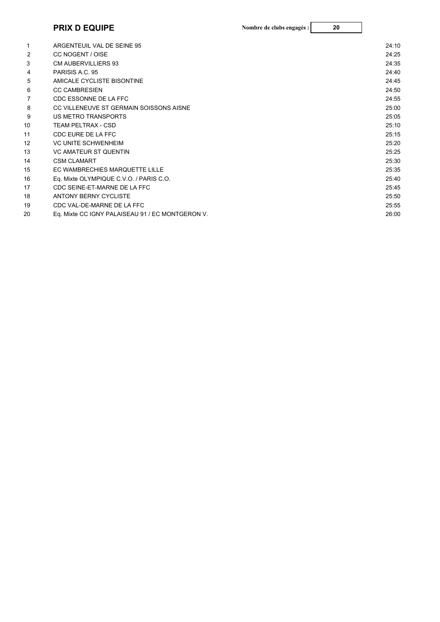## **PRIX D EQUIPE 20 Nombre de clubs engagés :**

| 1  | ARGENTEUIL VAL DE SEINE 95                       | 24:10 |
|----|--------------------------------------------------|-------|
| 2  | CC NOGENT / OISE                                 | 24:25 |
| 3  | <b>CM AUBERVILLIERS 93</b>                       | 24:35 |
| 4  | PARISIS A.C. 95                                  | 24:40 |
| 5  | AMICALE CYCLISTE BISONTINE                       | 24:45 |
| 6  | <b>CC CAMBRESIEN</b>                             | 24:50 |
|    | CDC ESSONNE DE LA FFC                            | 24:55 |
| 8  | CC VILLENEUVE ST GERMAIN SOISSONS AISNE          | 25:00 |
| 9  | <b>US METRO TRANSPORTS</b>                       | 25:05 |
| 10 | <b>TEAM PELTRAX - CSD</b>                        | 25:10 |
| 11 | CDC EURE DE LA FFC                               | 25:15 |
| 12 | <b>VC UNITE SCHWENHEIM</b>                       | 25:20 |
| 13 | <b>VC AMATEUR ST QUENTIN</b>                     | 25:25 |
| 14 | <b>CSM CLAMART</b>                               | 25:30 |
| 15 | EC WAMBRECHIES MARQUETTE LILLE                   | 25:35 |
| 16 | Eq. Mixte OLYMPIQUE C.V.O. / PARIS C.O.          | 25:40 |
| 17 | CDC SEINE-ET-MARNE DE LA FFC                     | 25:45 |
| 18 | ANTONY BERNY CYCLISTE                            | 25:50 |
| 19 | CDC VAL-DE-MARNE DE LA FFC                       | 25:55 |
| 20 | Eq. Mixte CC IGNY PALAISEAU 91 / EC MONTGERON V. | 26:00 |
|    |                                                  |       |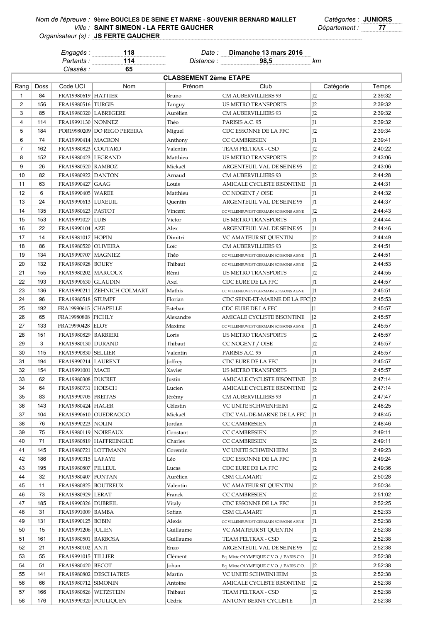*Classés :* **65**

*Engagés :* **118** *Date :* **Dimanche 13 mars 2016**

*Partants :* **114** *Distance :* **98,5** *km*

| <b>CLASSEMENT 2ème ETAPE</b> |            |                               |                             |                   |                                         |                |         |  |
|------------------------------|------------|-------------------------------|-----------------------------|-------------------|-----------------------------------------|----------------|---------|--|
| Rang                         | Doss       | Code UCI                      | Nom                         | Prénom            | Club                                    | Catégorie      | Temps   |  |
| $\mathbf{1}$                 | 84         | <b>FRA19980619 HATTIER</b>    |                             | Bruno             | CM AUBERVILLIERS 93                     | I <sub>2</sub> | 2:39:32 |  |
| $\overline{2}$               | 156        | FRA19980516   TURGIS          |                             | Tanguy            | <b>US METRO TRANSPORTS</b>              | I <sub>2</sub> | 2:39:32 |  |
| 3                            | 85         | FRA19980320 LABREGERE         |                             | Aurélien          | <b>CM AUBERVILLIERS 93</b>              | I <sub>2</sub> | 2:39:32 |  |
| 4                            | 114        | <b>FRA19991130   NONNEZ</b>   |                             | Théo              | PARISIS A.C. 95                         | I <sub>1</sub> | 2:39:32 |  |
| 5                            | 184        |                               | POR19980209 DO REGO PEREIRA | Miguel            | CDC ESSONNE DE LA FFC                   | I <sub>2</sub> | 2:39:34 |  |
| 6                            | 74         | <b>FRA19990414   MACRON</b>   |                             | Anthony           | <b>CC CAMBRESIEN</b>                    | I <sub>1</sub> | 2:39:41 |  |
| $\overline{7}$               | 162        | FRA19980823   COUTARD         |                             | Valentin          | TEAM PELTRAX - CSD                      | I <sub>2</sub> | 2:40:22 |  |
| 8                            | 152        | <b>FRA19980423 LEGRAND</b>    |                             | Matthieu          | US METRO TRANSPORTS                     | I <sub>2</sub> | 2:43:06 |  |
| 9                            | 26         | FRA19980520   RAMBOZ          |                             | Mickaël           | ARGENTEUIL VAL DE SEINE 95              | I <sub>2</sub> | 2:43:06 |  |
| 10                           | 82         | <b>FRA19980922 DANTON</b>     |                             | Arnaud            | CM AUBERVILLIERS 93                     | I <sub>2</sub> | 2:44:28 |  |
| 11                           | 63         | FRA19990427 GAAG              |                             | Louis             | AMICALE CYCLISTE BISONTINE              | 11             | 2:44:31 |  |
| 12                           | 6          | FRA19990405   WAREE           |                             | Matthieu          | CC NOGENT / OISE                        | I <sub>1</sub> | 2:44:32 |  |
| 13                           | 24         | FRA19990613   LUXEUIL         |                             | Quentin           | ARGENTEUIL VAL DE SEINE 95              | I <sub>1</sub> | 2:44:37 |  |
| 14                           | 135        | <b>FRA19980623 PASTOT</b>     |                             | Vincent           | CC VILLENEUVE ST GERMAIN SOISSONS AISNE | 12             | 2:44:43 |  |
| 15                           | 153        | FRA19991027   LUIS            |                             | Victor            | US METRO TRANSPORTS                     | $\mathbb{I}$   | 2:44:44 |  |
| 16                           | 22         | FRA19990104 AZE               |                             | Alex              | ARGENTEUIL VAL DE SEINE 95              | I <sub>1</sub> | 2:44:46 |  |
| 17                           | 14         | FRA19981017 HOPIN             |                             | Dimitri           | VC AMATEUR ST QUENTIN                   | I <sub>2</sub> | 2:44:49 |  |
| 18                           | 86         | FRA19980520   OLIVEIRA        |                             | Loïc              | <b>CM AUBERVILLIERS 93</b>              | I <sub>2</sub> | 2:44:51 |  |
| 19                           | 134        | <b>FRA19990707   MAGNIEZ</b>  |                             | Théo              | CC VILLENEUVE ST GERMAIN SOISSONS AISNE | $\mathbb{I}^1$ | 2:44:51 |  |
| 20                           | 132        | FRA19980928   BOURY           |                             | Thibaut           | CC VILLENEUVE ST GERMAIN SOISSONS AISNE | I <sub>2</sub> | 2:44:53 |  |
| 21                           | 155        | FRA19980202   MARCOUX         |                             | Rémi              | US METRO TRANSPORTS                     | I <sub>2</sub> | 2:44:55 |  |
| 22                           | 193        | <b>FRA19990630 GLAUDIN</b>    |                             | Axel              | CDC EURE DE LA FFC                      | I <sub>1</sub> | 2:44:57 |  |
| 23                           | 136        |                               | FRA19990211 ZEHNICH COLMART | Mathis            | CC VILLENEUVE ST GERMAIN SOISSONS AISNE | I <sub>1</sub> | 2:45:51 |  |
| 24                           | 96         | <b>FRA19980518 STUMPF</b>     |                             | Florian           | CDC SEINE-ET-MARNE DE LA FFC [2         |                | 2:45:53 |  |
| 25                           | 192        | FRA19990615 CHAPELLE          |                             | Esteban           | CDC EURE DE LA FFC                      | lI1            | 2:45:57 |  |
| 26                           | 65         | <b>FRA19980808  PICHLY</b>    |                             | Alexandre         | AMICALE CYCLISTE BISONTINE              | IZ             | 2:45:57 |  |
| 27                           | 133        | <b>FRA19990428 ELOY</b>       |                             | Maxime            | CC VILLENEUVE ST GERMAIN SOISSONS AISNE | $_{11}$        | 2:45:57 |  |
| 28                           | 151        | FRA19980829   BARBIERI        |                             | Loris             | US METRO TRANSPORTS                     | I <sub>2</sub> | 2:45:57 |  |
| 29                           | 3          | FRA19980130   DURAND          |                             | Thibaut           | CC NOGENT / OISE                        | I <sub>2</sub> | 2:45:57 |  |
| 30                           | 115        | <b>FRA19990830 SELLIER</b>    |                             | Valentin          | PARISIS A.C. 95                         | I <sub>1</sub> | 2:45:57 |  |
| 31                           | 194        | <b>FRA19990214 LAURENT</b>    |                             |                   | CDC EURE DE LA FFC                      | I <sub>1</sub> | 2:45:57 |  |
| 32                           | 154        | FRA19991001   MACE            |                             | Joffrey<br>Xavier | US METRO TRANSPORTS                     | $\mathbb{I}$   | 2:45:57 |  |
| 33                           | 62         | FRA19980308   DUCRET          |                             | Justin            | AMICALE CYCLISTE BISONTINE              | I <sub>2</sub> | 2:47:14 |  |
| 34                           | 64         | <b>FRA19980731   HOESCH</b>   |                             |                   | AMICALE CYCLISTE BISONTINE              | I <sub>2</sub> | 2:47:14 |  |
| 35                           | 83         | <b>FRA19990705 FREITAS</b>    |                             | Lucien            | <b>CM AUBERVILLIERS 93</b>              | I <sub>1</sub> | 2:47:47 |  |
| 36                           |            |                               |                             | Jérémy            |                                         |                | 2:48:25 |  |
| 37                           | 143<br>104 | FRA19980424 HAGER             |                             | Célestin          | VC UNITE SCHWENHEIM                     | J <sub>2</sub> | 2:48:45 |  |
|                              |            |                               | FRA19990610 OUEDRAOGO       | Mickaël           | CDC VAL-DE-MARNE DE LA FFC              | J 1            |         |  |
| 38                           | 76         | FRA19990223   NOLIN           |                             | Jordan            | <b>CC CAMBRESIEN</b>                    | $\mathsf{I}1$  | 2:48:46 |  |
| 39                           | 75         | FRA19980119   NOIREAUX        |                             | Constant          | <b>CC CAMBRESIEN</b>                    | J2             | 2:49:11 |  |
| 40                           | 71         |                               | FRA19980819 HAFFREINGUE     | Charles           | <b>CC CAMBRESIEN</b>                    | J2             | 2:49:11 |  |
| 41                           | 145        | FRA19980721   LOTTMANN        |                             | Corentin          | VC UNITE SCHWENHEIM                     | J2             | 2:49:23 |  |
| 42                           | 186        | FRA19990315 LAFAYE            |                             | Léo               | CDC ESSONNE DE LA FFC                   | J <sub>1</sub> | 2:49:24 |  |
| 43                           | 195        | FRA19980807   PILLEUL         |                             | Lucas             | CDC EURE DE LA FFC                      | J <sub>2</sub> | 2:49:36 |  |
| 44                           | 32         | <b>FRA19980407 FONTAN</b>     |                             | Aurélien          | CSM CLAMART                             | J <sub>2</sub> | 2:50:28 |  |
| 45                           | 11         | <b>FRA19980825   BOUTREUX</b> |                             | Valentin          | <b>VC AMATEUR ST OUENTIN</b>            | J2             | 2:50:34 |  |
| 46                           | 73         | FRA19980929   LERAT           |                             | Franck            | <b>CC CAMBRESIEN</b>                    | J <sub>2</sub> | 2:51:02 |  |
| 47                           | 185        | FRA19990326   DUBREIL         |                             | Vitaly            | CDC ESSONNE DE LA FFC                   | J <sub>1</sub> | 2:52:25 |  |
| 48                           | 31         | FRA19991009   BAMBA           |                             | Sofian            | CSM CLAMART                             | J <sub>1</sub> | 2:52:33 |  |
| 49                           | 131        | FRA19990125   BOBIN           |                             | Alexis            | CC VILLENEUVE ST GERMAIN SOISSONS AISNE | J1             | 2:52:38 |  |
| 50                           | 15         | FRA19991206   JULIEN          |                             | Guillaume         | VC AMATEUR ST QUENTIN                   | J <sub>1</sub> | 2:52:38 |  |
| 51                           | 161        | FRA19980501   BARBOSA         |                             | Guillaume         | TEAM PELTRAX - CSD                      | J2             | 2:52:38 |  |
| 52                           | 21         | FRA19980102 ANTI              |                             | Enzo              | ARGENTEUIL VAL DE SEINE 95              | J2             | 2:52:38 |  |
| 53                           | 55         | <b>FRA19991015   TILLIER</b>  |                             | Clément           | Eq. Mixte OLYMPIQUE C.V.O. / PARIS C.O. | J1             | 2:52:38 |  |
| 54                           | 51         | FRA19980420   BECOT           |                             | Johan             | Eq. Mixte OLYMPIQUE C.V.O. / PARIS C.O. | J2             | 2:52:38 |  |
| 55                           | 141        |                               | FRA19980802   DESCHATRES    | Martin            | VC UNITE SCHWENHEIM                     | J2             | 2:52:38 |  |
| 56                           | 66         | FRA19980712   SIMONIN         |                             | Antoine           | AMICALE CYCLISTE BISONTINE              | J <sub>2</sub> | 2:52:38 |  |
| 57                           | 166        | FRA19980826   WETZSTEIN       |                             | Thibaut           | TEAM PELTRAX - CSD                      | J <sub>2</sub> | 2:52:38 |  |
| 58                           | 176        | FRA19990320   POULIQUEN       |                             | Cédric            | ANTONY BERNY CYCLISTE                   | J1             | 2:52:38 |  |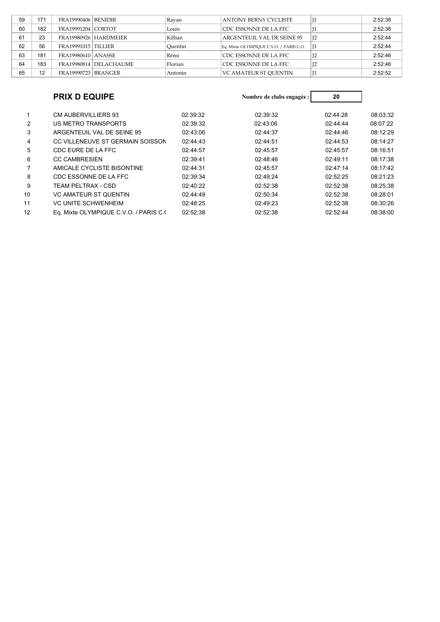| 59 | 171              | <b>FRA19990406 BENIDIR</b> |                        | Ravan   | ANTONY BERNY CYCLISTE                   |                | 2:52:38 |
|----|------------------|----------------------------|------------------------|---------|-----------------------------------------|----------------|---------|
| 60 | 182              | <b>FRA19991204 CORTOT</b>  |                        | Louis   | CDC ESSONNE DE LA FFC                   |                | 2:52:38 |
| 61 | 23               |                            | FRA19980926 HARDMEIER  | Killian | ARGENTEUIL VAL DE SEINE 95              | I <sub>2</sub> | 2:52:44 |
| 62 | 56               | FRA19991015 TILLIER        |                        | Ouentin | Eq. Mixte OLYMPIQUE C.V.O. / PARIS C.O. |                | 2:52:44 |
| 63 | 181              | <b>FRA19980610 ANASSE</b>  |                        | Rémi    | CDC ESSONNE DE LA FFC                   | 12             | 2:52:46 |
| 64 | 183              |                            | FRA19980814 DELACHAUME | Florian | CDC ESSONNE DE LA FFC                   | I2             | 2:52:46 |
| 65 | 12 <sup>12</sup> | <b>FRA19990723 BRANGER</b> |                        | Antonin | <b>VC AMATEUR ST OUENTIN</b>            |                | 2:52:52 |

|                | <b>PRIX D EQUIPE</b>                  |          | Nombre de clubs engagés : | 20       |          |
|----------------|---------------------------------------|----------|---------------------------|----------|----------|
| 1              | <b>CM AUBERVILLIERS 93</b>            | 02:39:32 | 02:39:32                  | 02:44:28 |          |
|                |                                       |          |                           |          | 08:03:32 |
| $\overline{2}$ | US METRO TRANSPORTS                   | 02:39:32 | 02:43:06                  | 02:44:44 | 08:07:22 |
| 3              | ARGENTEUIL VAL DE SEINE 95            | 02:43:06 | 02:44:37                  | 02:44:46 | 08:12:29 |
| 4              | CC VILLENEUVE ST GERMAIN SOISSON      | 02:44:43 | 02:44:51                  | 02:44:53 | 08:14:27 |
| 5              | CDC EURE DE LA FFC                    | 02:44:57 | 02:45:57                  | 02:45:57 | 08:16:51 |
| 6              | <b>CC CAMBRESIEN</b>                  | 02:39:41 | 02:48:46                  | 02:49:11 | 08:17:38 |
|                | AMICALE CYCLISTE BISONTINE            | 02:44:31 | 02:45:57                  | 02:47:14 | 08:17:42 |
| 8              | CDC ESSONNE DE LA FFC                 | 02:39:34 | 02:49:24                  | 02:52:25 | 08:21:23 |
| 9              | TEAM PELTRAX - CSD                    | 02:40:22 | 02:52:38                  | 02:52:38 | 08:25:38 |
| 10             | <b>VC AMATEUR ST QUENTIN</b>          | 02:44:49 | 02:50:34                  | 02:52:38 | 08:28:01 |
| 11             | <b>VC UNITE SCHWENHEIM</b>            | 02:48:25 | 02:49:23                  | 02:52:38 | 08:30:26 |
| 12             | Eq. Mixte OLYMPIQUE C.V.O. / PARIS C. | 02:52:38 | 02:52:38                  | 02:52:44 | 08:38:00 |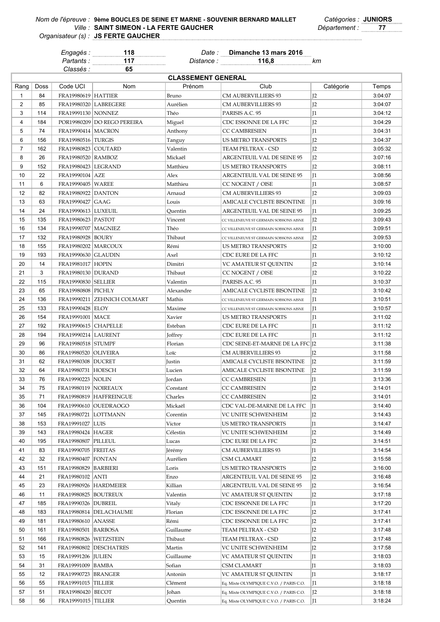## *Nom de l'épreuve : Catégories :* **JUNIORS 9ème BOUCLES DE SEINE ET MARNE - SOUVENIR BERNARD MAILLET** *Ville : Département :* **77 SAINT SIMEON - LA FERTE GAUCHER JS FERTE GAUCHER**

*Organisateur (s) :*

*Classés :* **65**

*Engagés :* **118** *Date :* **Dimanche 13 mars 2016**

*Partants :* **117** *Distance :* **116,8** *km*

| <b>CLASSEMENT GENERAL</b> |      |                              |                               |           |                                         |                |         |  |
|---------------------------|------|------------------------------|-------------------------------|-----------|-----------------------------------------|----------------|---------|--|
| Rang                      | Doss | Code UCI                     | Nom                           | Prénom    | Club                                    | Catégorie      | Temps   |  |
| $\mathbf{1}$              | 84   | <b>FRA19980619   HATTIER</b> |                               | Bruno     | CM AUBERVILLIERS 93                     | J <sub>2</sub> | 3:04:07 |  |
| 2                         | 85   | <b>FRA19980320 LABREGERE</b> |                               | Aurélien  | <b>CM AUBERVILLIERS 93</b>              | J <sub>2</sub> | 3:04:07 |  |
| 3                         | 114  | FRA19991130   NONNEZ         |                               | Théo      | PARISIS A.C. 95                         | J <sub>1</sub> | 3:04:12 |  |
| $\overline{4}$            | 184  |                              | POR19980209   DO REGO PEREIRA | Miguel    | CDC ESSONNE DE LA FFC                   | I <sub>2</sub> | 3:04:29 |  |
| 5                         | 74   | <b>FRA19990414   MACRON</b>  |                               | Anthony   | <b>CC CAMBRESIEN</b>                    | I <sub>1</sub> | 3:04:31 |  |
| 6                         | 156  | FRA19980516   TURGIS         |                               | Tanguy    | US METRO TRANSPORTS                     | I <sub>2</sub> | 3:04:37 |  |
| $\overline{7}$            | 162  | FRA19980823 COUTARD          |                               | Valentin  | TEAM PELTRAX - CSD                      | J <sub>2</sub> | 3:05:32 |  |
| 8                         | 26   |                              |                               |           |                                         |                | 3:07:16 |  |
|                           |      | FRA19980520   RAMBOZ         |                               | Mickaël   | ARGENTEUIL VAL DE SEINE 95              | J <sub>2</sub> |         |  |
| 9                         | 152  | <b>FRA19980423 LEGRAND</b>   |                               | Matthieu  | US METRO TRANSPORTS                     | J <sub>2</sub> | 3:08:11 |  |
| 10                        | 22   | FRA19990104   AZE            |                               | Alex      | ARGENTEUIL VAL DE SEINE 95              | I <sub>1</sub> | 3:08:56 |  |
| 11                        | 6    | FRA19990405   WAREE          |                               | Matthieu  | CC NOGENT / OISE                        | $\mathsf{I}1$  | 3:08:57 |  |
| 12                        | 82   | <b>FRA19980922 DANTON</b>    |                               | Arnaud    | <b>CM AUBERVILLIERS 93</b>              | I <sub>2</sub> | 3:09:03 |  |
| 13                        | 63   | FRA19990427   GAAG           |                               | Louis     | AMICALE CYCLISTE BISONTINE              | 11             | 3:09:16 |  |
| 14                        | 24   | FRA19990613   LUXEUIL        |                               | Quentin   | ARGENTEUIL VAL DE SEINE 95              | $\mathsf{I}1$  | 3:09:25 |  |
| 15                        | 135  | <b>FRA19980623 PASTOT</b>    |                               | Vincent   | CC VILLENEUVE ST GERMAIN SOISSONS AISNE | J <sub>2</sub> | 3:09:43 |  |
| 16                        | 134  | FRA19990707   MAGNIEZ        |                               | Théo      | CC VILLENEUVE ST GERMAIN SOISSONS AISNE | $\mathsf{I}1$  | 3:09:51 |  |
| 17                        | 132  | FRA19980928   BOURY          |                               | Thibaut   | CC VILLENEUVE ST GERMAIN SOISSONS AISNE | 12             | 3:09:53 |  |
| 18                        | 155  | <b>FRA19980202   MARCOUX</b> |                               | Rémi      | US METRO TRANSPORTS                     | I <sub>2</sub> | 3:10:00 |  |
| 19                        | 193  | <b>FRA19990630 GLAUDIN</b>   |                               | Axel      | CDC EURE DE LA FFC                      | I <sub>1</sub> | 3:10:12 |  |
| 20                        | 14   | FRA19981017   HOPIN          |                               | Dimitri   | VC AMATEUR ST QUENTIN                   | J <sub>2</sub> | 3:10:14 |  |
| 21                        | 3    | <b>FRA19980130 DURAND</b>    |                               | Thibaut   | CC NOGENT / OISE                        | J <sub>2</sub> | 3:10:22 |  |
| 22                        | 115  | <b>FRA19990830 SELLIER</b>   |                               | Valentin  | PARISIS A.C. 95                         | J <sub>1</sub> | 3:10:37 |  |
| 23                        | 65   | FRA19980808   PICHLY         |                               | Alexandre | AMICALE CYCLISTE BISONTINE              | I <sub>2</sub> | 3:10:42 |  |
| 24                        | 136  |                              | FRA19990211 ZEHNICH COLMART   | Mathis    | CC VILLENEUVE ST GERMAIN SOISSONS AISNE | $\mathsf{I}1$  | 3:10:51 |  |
| 25                        | 133  | FRA19990428 ELOY             |                               | Maxime    | CC VILLENEUVE ST GERMAIN SOISSONS AISNE | $_{11}$        | 3:10:57 |  |
| 26                        | 154  | FRA19991001   MACE           |                               | Xavier    | US METRO TRANSPORTS                     | J <sub>1</sub> | 3:11:02 |  |
| 27                        | 192  | FRA19990615   CHAPELLE       |                               | Esteban   | CDC EURE DE LA FFC                      | 11             | 3:11:12 |  |
| 28                        | 194  | <b>FRA19990214   LAURENT</b> |                               | Joffrey   | CDC EURE DE LA FFC                      | I <sub>1</sub> | 3:11:12 |  |
| 29                        | 96   | <b>FRA19980518 STUMPF</b>    |                               | Florian   | CDC SEINE-ET-MARNE DE LA FFC [12        |                | 3:11:38 |  |
| 30                        | 86   | FRA19980520  OLIVEIRA        |                               | Loïc      | CM AUBERVILLIERS 93                     | I <sub>2</sub> | 3:11:58 |  |
| 31                        | 62   | <b>FRA19980308 DUCRET</b>    |                               | Justin    | AMICALE CYCLISTE BISONTINE              | I <sub>2</sub> | 3:11:59 |  |
| 32                        | 64   | FRA19980731 HOESCH           |                               | Lucien    | AMICALE CYCLISTE BISONTINE              | I <sub>2</sub> | 3:11:59 |  |
| 33                        | 76   | FRA19990223   NOLIN          |                               | Jordan    | CC CAMBRESIEN                           | I1             | 3:13:36 |  |
| 34                        | 75   | FRA19980119 NOIREAUX         |                               | Constant  | <b>CC CAMBRESIEN</b>                    | I <sub>2</sub> | 3:14:01 |  |
| 35                        | 71   |                              | FRA19980819 HAFFREINGUE       | Charles   | CC CAMBRESIEN                           | I <sub>2</sub> | 3:14:01 |  |
| 36                        | 104  |                              | FRA19990610 OUEDRAOGO         | Mickaël   | CDC VAL-DE-MARNE DE LA FFC              | $J_1$          | 3:14:40 |  |
|                           |      |                              |                               |           |                                         |                |         |  |
| 37                        | 145  | FRA19980721  LOTTMANN        |                               | Corentin  | VC UNITE SCHWENHEIM                     | J <sub>2</sub> | 3:14:43 |  |
| 38                        | 153  | FRA19991027 LUIS             |                               | Victor    | US METRO TRANSPORTS                     | J1             | 3:14:47 |  |
| 39                        | 143  | FRA19980424 HAGER            |                               | Célestin  | VC UNITE SCHWENHEIM                     | J <sub>2</sub> | 3:14:49 |  |
| 40                        | 195  | FRA19980807   PILLEUL        |                               | Lucas     | CDC EURE DE LA FFC                      | J2             | 3:14:51 |  |
| 41                        | 83   | <b>FRA19990705 FREITAS</b>   |                               | Jérémy    | CM AUBERVILLIERS 93                     | J1             | 3:14:54 |  |
| 42                        | 32   | <b>FRA19980407 FONTAN</b>    |                               | Aurélien  | CSM CLAMART                             | J <sub>2</sub> | 3:15:58 |  |
| 43                        | 151  | FRA19980829 BARBIERI         |                               | Loris     | US METRO TRANSPORTS                     | J2             | 3:16:00 |  |
| 44                        | 21   | FRA19980102 ANTI             |                               | Enzo      | ARGENTEUIL VAL DE SEINE 95              | J2             | 3:16:48 |  |
| 45                        | 23   |                              | FRA19980926 HARDMEIER         | Killian   | ARGENTEUIL VAL DE SEINE 95              | J2             | 3:16:54 |  |
| 46                        | 11   | FRA19980825 BOUTREUX         |                               | Valentin  | VC AMATEUR ST QUENTIN                   | J <sub>2</sub> | 3:17:18 |  |
| 47                        | 185  | FRA19990326   DUBREIL        |                               | Vitaly    | CDC ESSONNE DE LA FFC                   | II.            | 3:17:20 |  |
| 48                        | 183  |                              | FRA19980814   DELACHAUME      | Florian   | CDC ESSONNE DE LA FFC                   | J <sub>2</sub> | 3:17:41 |  |
| 49                        | 181  | FRA19980610 ANASSE           |                               | Rémi      | CDC ESSONNE DE LA FFC                   | J <sub>2</sub> | 3:17:41 |  |
| 50                        | 161  | FRA19980501 BARBOSA          |                               | Guillaume | TEAM PELTRAX - CSD                      | J2             | 3:17:48 |  |
| 51                        | 166  | FRA19980826 WETZSTEIN        |                               | Thibaut   | TEAM PELTRAX - CSD                      | J <sub>2</sub> | 3:17:48 |  |
| 52                        | 141  |                              | FRA19980802 DESCHATRES        | Martin    | VC UNITE SCHWENHEIM                     | J <sub>2</sub> | 3:17:58 |  |
| 53                        | 15   | <b>FRA19991206  JULIEN</b>   |                               | Guillaume | VC AMATEUR ST QUENTIN                   | II.            | 3:18:03 |  |
| 54                        | 31   | FRA19991009 BAMBA            |                               | Sofian    | CSM CLAMART                             | II.            | 3:18:03 |  |
| 55                        | 12   | <b>FRA19990723 BRANGER</b>   |                               | Antonin   | VC AMATEUR ST QUENTIN                   | II.            | 3:18:17 |  |
| 56                        | 55   | <b>FRA19991015 TILLIER</b>   |                               | Clément   | Eq. Mixte OLYMPIQUE C.V.O. / PARIS C.O. | II.            | 3:18:18 |  |
| 57                        | 51   | FRA19980420   BECOT          |                               | Johan     | Eq. Mixte OLYMPIQUE C.V.O. / PARIS C.O. | J <sub>2</sub> | 3:18:18 |  |
| 58                        | 56   | FRA19991015 TILLIER          |                               | Quentin   | Eq. Mixte OLYMPIQUE C.V.O. / PARIS C.O. | 11             | 3:18:24 |  |